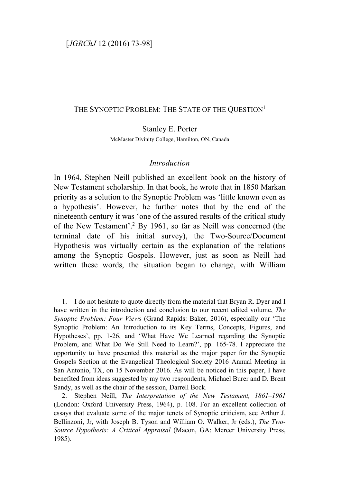## THE SYNOPTIC PROBLEM: THE STATE OF THE QUESTION<sup>1</sup>

Stanley E. Porter

McMaster Divinity College, Hamilton, ON, Canada

## *Introduction*

In 1964, Stephen Neill published an excellent book on the history of New Testament scholarship. In that book, he wrote that in 1850 Markan priority as a solution to the Synoptic Problem was 'little known even as a hypothesis'. However, he further notes that by the end of the nineteenth century it was 'one of the assured results of the critical study of the New Testament'.2 By 1961, so far as Neill was concerned (the terminal date of his initial survey), the Two-Source/Document Hypothesis was virtually certain as the explanation of the relations among the Synoptic Gospels. However, just as soon as Neill had written these words, the situation began to change, with William

1. I do not hesitate to quote directly from the material that Bryan R. Dyer and I have written in the introduction and conclusion to our recent edited volume, *The Synoptic Problem: Four Views* (Grand Rapids: Baker, 2016), especially our 'The Synoptic Problem: An Introduction to its Key Terms, Concepts, Figures, and Hypotheses', pp. 1-26, and 'What Have We Learned regarding the Synoptic Problem, and What Do We Still Need to Learn?', pp. 165-78. I appreciate the opportunity to have presented this material as the major paper for the Synoptic Gospels Section at the Evangelical Theological Society 2016 Annual Meeting in San Antonio, TX, on 15 November 2016. As will be noticed in this paper, I have benefited from ideas suggested by my two respondents, Michael Burer and D. Brent Sandy, as well as the chair of the session, Darrell Bock.

2. Stephen Neill, *The Interpretation of the New Testament, 1861–1961* (London: Oxford University Press, 1964), p. 108. For an excellent collection of essays that evaluate some of the major tenets of Synoptic criticism, see Arthur J. Bellinzoni, Jr, with Joseph B. Tyson and William O. Walker, Jr (eds.), *The Two-Source Hypothesis: A Critical Appraisal* (Macon, GA: Mercer University Press, 1985).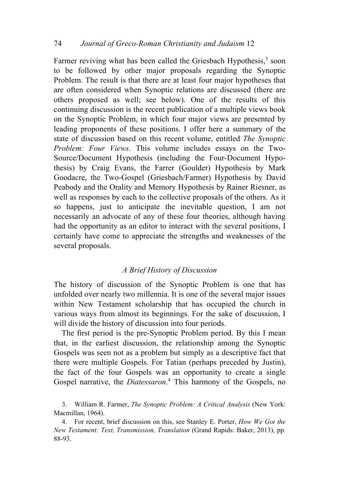Farmer reviving what has been called the Griesbach Hypothesis,<sup>3</sup> soon to be followed by other major proposals regarding the Synoptic Problem. The result is that there are at least four major hypotheses that are often considered when Synoptic relations are discussed (there are others proposed as well; see below). One of the results of this continuing discussion is the recent publication of a multiple views book on the Synoptic Problem, in which four major views are presented by leading proponents of these positions. I offer here a summary of the state of discussion based on this recent volume, entitled *The Synoptic Problem: Four Views*. This volume includes essays on the Two-Source/Document Hypothesis (including the Four-Document Hypothesis) by Craig Evans, the Farrer (Goulder) Hypothesis by Mark Goodacre, the Two-Gospel (Griesbach/Farmer) Hypothesis by David Peabody and the Orality and Memory Hypothesis by Rainer Riesner, as well as responses by each to the collective proposals of the others. As it so happens, just to anticipate the inevitable question, I am not necessarily an advocate of any of these four theories, although having had the opportunity as an editor to interact with the several positions, I certainly have come to appreciate the strengths and weaknesses of the several proposals.

#### *A Brief History of Discussion*

The history of discussion of the Synoptic Problem is one that has unfolded over nearly two millennia. It is one of the several major issues within New Testament scholarship that has occupied the church in various ways from almost its beginnings. For the sake of discussion, I will divide the history of discussion into four periods.

The first period is the pre-Synoptic Problem period. By this I mean that, in the earliest discussion, the relationship among the Synoptic Gospels was seen not as a problem but simply as a descriptive fact that there were multiple Gospels. For Tatian (perhaps preceded by Justin), the fact of the four Gospels was an opportunity to create a single Gospel narrative, the *Diatessaron*. <sup>4</sup> This harmony of the Gospels, no

<sup>3.</sup> William R. Farmer, *The Synoptic Problem: A Critical Analysis* (New York: Macmillan, 1964).

<sup>4.</sup> For recent, brief discussion on this, see Stanley E. Porter, *How We Got the New Testament: Text, Transmission, Translation* (Grand Rapids: Baker, 2013), pp. 88-93.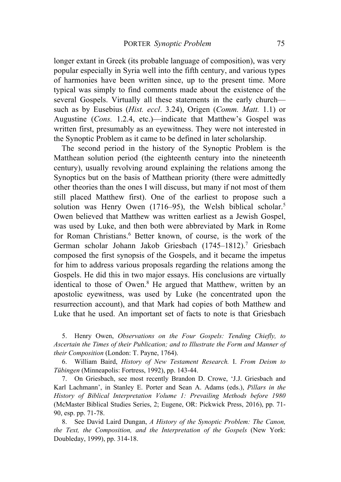longer extant in Greek (its probable language of composition), was very popular especially in Syria well into the fifth century, and various types of harmonies have been written since, up to the present time. More typical was simply to find comments made about the existence of the several Gospels. Virtually all these statements in the early church such as by Eusebius (*Hist. eccl*. 3.24), Origen (*Comm. Matt.* 1.1) or Augustine (*Cons.* 1.2.4, etc.)—indicate that Matthew's Gospel was written first, presumably as an eyewitness. They were not interested in the Synoptic Problem as it came to be defined in later scholarship.

The second period in the history of the Synoptic Problem is the Matthean solution period (the eighteenth century into the nineteenth century), usually revolving around explaining the relations among the Synoptics but on the basis of Matthean priority (there were admittedly other theories than the ones I will discuss, but many if not most of them still placed Matthew first). One of the earliest to propose such a solution was Henry Owen  $(1716-95)$ , the Welsh biblical scholar.<sup>5</sup> Owen believed that Matthew was written earliest as a Jewish Gospel, was used by Luke, and then both were abbreviated by Mark in Rome for Roman Christians.6 Better known, of course, is the work of the German scholar Johann Jakob Griesbach (1745–1812).<sup>7</sup> Griesbach composed the first synopsis of the Gospels, and it became the impetus for him to address various proposals regarding the relations among the Gospels. He did this in two major essays. His conclusions are virtually identical to those of Owen.<sup>8</sup> He argued that Matthew, written by an apostolic eyewitness, was used by Luke (he concentrated upon the resurrection account), and that Mark had copies of both Matthew and Luke that he used. An important set of facts to note is that Griesbach

5. Henry Owen, *Observations on the Four Gospels: Tending Chiefly, to Ascertain the Times of their Publication; and to Illustrate the Form and Manner of their Composition* (London: T. Payne, 1764).

6. William Baird, *History of New Testament Research.* I. *From Deism to Tübingen* (Minneapolis: Fortress, 1992), pp. 143-44.

7. On Griesbach, see most recently Brandon D. Crowe, 'J.J. Griesbach and Karl Lachmann', in Stanley E. Porter and Sean A. Adams (eds.), *Pillars in the History of Biblical Interpretation Volume 1: Prevailing Methods before 1980* (McMaster Biblical Studies Series, 2; Eugene, OR: Pickwick Press, 2016), pp. 71- 90, esp. pp. 71-78.

8. See David Laird Dungan, *A History of the Synoptic Problem: The Canon, the Text, the Composition, and the Interpretation of the Gospels* (New York: Doubleday, 1999), pp. 314-18.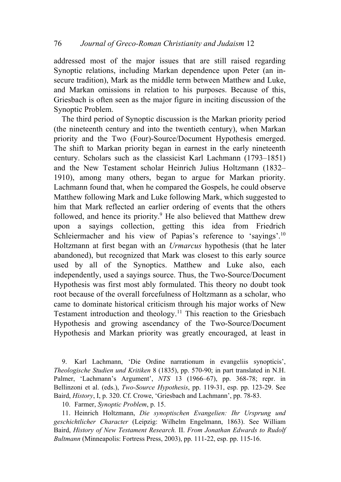addressed most of the major issues that are still raised regarding Synoptic relations, including Markan dependence upon Peter (an insecure tradition), Mark as the middle term between Matthew and Luke, and Markan omissions in relation to his purposes. Because of this, Griesbach is often seen as the major figure in inciting discussion of the Synoptic Problem.

The third period of Synoptic discussion is the Markan priority period (the nineteenth century and into the twentieth century), when Markan priority and the Two (Four)-Source/Document Hypothesis emerged. The shift to Markan priority began in earnest in the early nineteenth century. Scholars such as the classicist Karl Lachmann (1793–1851) and the New Testament scholar Heinrich Julius Holtzmann (1832– 1910), among many others, began to argue for Markan priority. Lachmann found that, when he compared the Gospels, he could observe Matthew following Mark and Luke following Mark, which suggested to him that Mark reflected an earlier ordering of events that the others followed, and hence its priority.<sup>9</sup> He also believed that Matthew drew upon a sayings collection, getting this idea from Friedrich Schleiermacher and his view of Papias's reference to 'sayings'.<sup>10</sup> Holtzmann at first began with an *Urmarcus* hypothesis (that he later abandoned), but recognized that Mark was closest to this early source used by all of the Synoptics. Matthew and Luke also, each independently, used a sayings source. Thus, the Two-Source/Document Hypothesis was first most ably formulated. This theory no doubt took root because of the overall forcefulness of Holtzmann as a scholar, who came to dominate historical criticism through his major works of New Testament introduction and theology.<sup>11</sup> This reaction to the Griesbach Hypothesis and growing ascendancy of the Two-Source/Document Hypothesis and Markan priority was greatly encouraged, at least in

9. Karl Lachmann, 'Die Ordine narrationum in evangeliis synopticis', *Theologische Studien und Kritiken* 8 (1835), pp. 570-90; in part translated in N.H. Palmer, 'Lachmann's Argument', *NTS* 13 (1966–67), pp. 368-78; repr. in Bellinzoni et al. (eds.), *Two-Source Hypothesis*, pp. 119-31, esp. pp. 123-29. See Baird, *History*, I, p. 320. Cf. Crowe, 'Griesbach and Lachmann', pp. 78-83.

10. Farmer, *Synoptic Problem*, p. 15.

11. Heinrich Holtzmann, *Die synoptischen Evangelien: Ihr Ursprung und geschichtlicher Character* (Leipzig: Wilhelm Engelmann, 1863). See William Baird, *History of New Testament Research.* II. *From Jonathan Edwards to Rudolf Bultmann* (Minneapolis: Fortress Press, 2003), pp. 111-22, esp. pp. 115-16.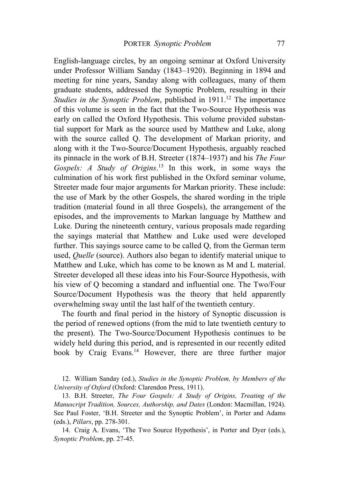English-language circles, by an ongoing seminar at Oxford University under Professor William Sanday (1843–1920). Beginning in 1894 and meeting for nine years, Sanday along with colleagues, many of them graduate students, addressed the Synoptic Problem, resulting in their *Studies in the Synoptic Problem*, published in 1911.<sup>12</sup> The importance of this volume is seen in the fact that the Two-Source Hypothesis was early on called the Oxford Hypothesis. This volume provided substantial support for Mark as the source used by Matthew and Luke, along with the source called Q. The development of Markan priority, and along with it the Two-Source/Document Hypothesis, arguably reached its pinnacle in the work of B.H. Streeter (1874–1937) and his *The Four Gospels: A Study of Origins*. <sup>13</sup> In this work, in some ways the culmination of his work first published in the Oxford seminar volume, Streeter made four major arguments for Markan priority. These include: the use of Mark by the other Gospels, the shared wording in the triple tradition (material found in all three Gospels), the arrangement of the episodes, and the improvements to Markan language by Matthew and Luke. During the nineteenth century, various proposals made regarding the sayings material that Matthew and Luke used were developed further. This sayings source came to be called Q, from the German term used, *Quelle* (source). Authors also began to identify material unique to Matthew and Luke, which has come to be known as M and L material. Streeter developed all these ideas into his Four-Source Hypothesis, with his view of Q becoming a standard and influential one. The Two/Four Source/Document Hypothesis was the theory that held apparently overwhelming sway until the last half of the twentieth century.

The fourth and final period in the history of Synoptic discussion is the period of renewed options (from the mid to late twentieth century to the present). The Two-Source/Document Hypothesis continues to be widely held during this period, and is represented in our recently edited book by Craig Evans.<sup>14</sup> However, there are three further major

12. William Sanday (ed.), *Studies in the Synoptic Problem, by Members of the University of Oxford* (Oxford: Clarendon Press, 1911).

13. B.H. Streeter, *The Four Gospels: A Study of Origins, Treating of the Manuscript Tradition, Sources, Authorship, and Dates* (London: Macmillan, 1924). See Paul Foster, 'B.H. Streeter and the Synoptic Problem', in Porter and Adams (eds.), *Pillars*, pp. 278-301.

14. Craig A. Evans, 'The Two Source Hypothesis', in Porter and Dyer (eds.), *Synoptic Problem*, pp. 27-45.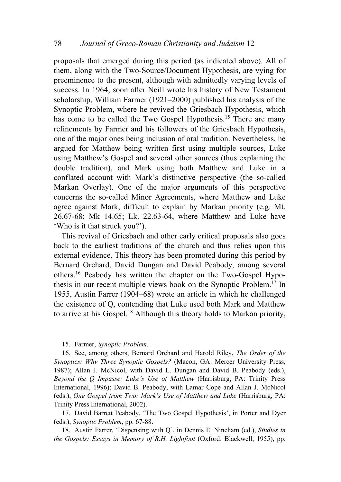proposals that emerged during this period (as indicated above). All of them, along with the Two-Source/Document Hypothesis, are vying for preeminence to the present, although with admittedly varying levels of success. In 1964, soon after Neill wrote his history of New Testament scholarship, William Farmer (1921–2000) published his analysis of the Synoptic Problem, where he revived the Griesbach Hypothesis, which has come to be called the Two Gospel Hypothesis.<sup>15</sup> There are many refinements by Farmer and his followers of the Griesbach Hypothesis, one of the major ones being inclusion of oral tradition. Nevertheless, he argued for Matthew being written first using multiple sources, Luke using Matthew's Gospel and several other sources (thus explaining the double tradition), and Mark using both Matthew and Luke in a conflated account with Mark's distinctive perspective (the so-called Markan Overlay). One of the major arguments of this perspective concerns the so-called Minor Agreements, where Matthew and Luke agree against Mark, difficult to explain by Markan priority (e.g. Mt. 26.67-68; Mk 14.65; Lk. 22.63-64, where Matthew and Luke have 'Who is it that struck you?').

This revival of Griesbach and other early critical proposals also goes back to the earliest traditions of the church and thus relies upon this external evidence. This theory has been promoted during this period by Bernard Orchard, David Dungan and David Peabody, among several others.16 Peabody has written the chapter on the Two-Gospel Hypothesis in our recent multiple views book on the Synoptic Problem.17 In 1955, Austin Farrer (1904–68) wrote an article in which he challenged the existence of Q, contending that Luke used both Mark and Matthew to arrive at his Gospel.18 Although this theory holds to Markan priority,

#### 15. Farmer, *Synoptic Problem*.

16. See, among others, Bernard Orchard and Harold Riley, *The Order of the Synoptics: Why Three Synoptic Gospels?* (Macon, GA: Mercer University Press, 1987); Allan J. McNicol, with David L. Dungan and David B. Peabody (eds.), *Beyond the Q Impasse: Luke's Use of Matthew* (Harrisburg, PA: Trinity Press International, 1996); David B. Peabody, with Lamar Cope and Allan J. McNicol (eds.), *One Gospel from Two: Mark's Use of Matthew and Luke* (Harrisburg, PA: Trinity Press International, 2002).

17. David Barrett Peabody, 'The Two Gospel Hypothesis', in Porter and Dyer (eds.), *Synoptic Problem*, pp. 67-88.

18. Austin Farrer, 'Dispensing with Q', in Dennis E. Nineham (ed.), *Studies in the Gospels: Essays in Memory of R.H. Lightfoot* (Oxford: Blackwell, 1955), pp.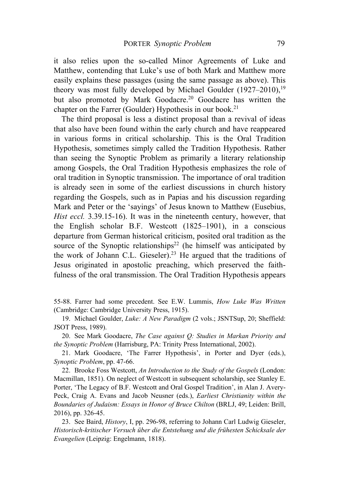it also relies upon the so-called Minor Agreements of Luke and Matthew, contending that Luke's use of both Mark and Matthew more easily explains these passages (using the same passage as above). This theory was most fully developed by Michael Goulder  $(1927-2010)^{19}$ but also promoted by Mark Goodacre.<sup>20</sup> Goodacre has written the chapter on the Farrer (Goulder) Hypothesis in our book.<sup>21</sup>

The third proposal is less a distinct proposal than a revival of ideas that also have been found within the early church and have reappeared in various forms in critical scholarship. This is the Oral Tradition Hypothesis, sometimes simply called the Tradition Hypothesis. Rather than seeing the Synoptic Problem as primarily a literary relationship among Gospels, the Oral Tradition Hypothesis emphasizes the role of oral tradition in Synoptic transmission. The importance of oral tradition is already seen in some of the earliest discussions in church history regarding the Gospels, such as in Papias and his discussion regarding Mark and Peter or the 'sayings' of Jesus known to Matthew (Eusebius, *Hist eccl.* 3.39.15-16). It was in the nineteenth century, however, that the English scholar B.F. Westcott (1825–1901), in a conscious departure from German historical criticism, posited oral tradition as the source of the Synoptic relationships<sup>22</sup> (he himself was anticipated by the work of Johann C.L. Gieseler).<sup>23</sup> He argued that the traditions of Jesus originated in apostolic preaching, which preserved the faithfulness of the oral transmission. The Oral Tradition Hypothesis appears

55-88. Farrer had some precedent. See E.W. Lummis, *How Luke Was Written* (Cambridge: Cambridge University Press, 1915).

19. Michael Goulder, *Luke: A New Paradigm* (2 vols.; JSNTSup, 20; Sheffield: JSOT Press, 1989).

20. See Mark Goodacre, *The Case against Q: Studies in Markan Priority and the Synoptic Problem* (Harrisburg, PA: Trinity Press International, 2002).

21. Mark Goodacre, 'The Farrer Hypothesis', in Porter and Dyer (eds.), *Synoptic Problem*, pp. 47-66.

22. Brooke Foss Westcott, *An Introduction to the Study of the Gospels* (London: Macmillan, 1851). On neglect of Westcott in subsequent scholarship, see Stanley E. Porter, 'The Legacy of B.F. Westcott and Oral Gospel Tradition', in Alan J. Avery-Peck, Craig A. Evans and Jacob Neusner (eds.), *Earliest Christianity within the Boundaries of Judaism: Essays in Honor of Bruce Chilton* (BRLJ, 49; Leiden: Brill, 2016), pp. 326-45.

23. See Baird, *History*, I, pp. 296-98, referring to Johann Carl Ludwig Gieseler, *Historisch-kritischer Versuch über die Entstehung und die frühesten Schicksale der Evangelien* (Leipzig: Engelmann, 1818).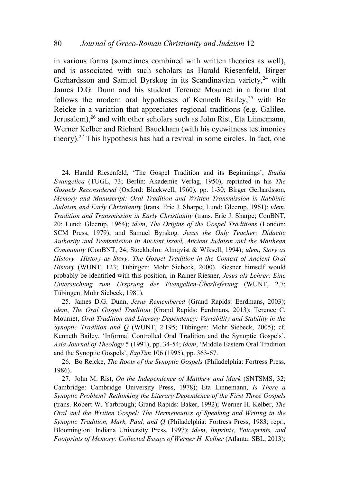in various forms (sometimes combined with written theories as well), and is associated with such scholars as Harald Riesenfeld, Birger Gerhardsson and Samuel Byrskog in its Scandinavian variety,  $24$  with James D.G. Dunn and his student Terence Mournet in a form that follows the modern oral hypotheses of Kenneth Bailey,<sup>25</sup> with Bo Reicke in a variation that appreciates regional traditions (e.g. Galilee, Jerusalem),<sup>26</sup> and with other scholars such as John Rist, Eta Linnemann, Werner Kelber and Richard Bauckham (with his evewitness testimonies theory). <sup>27</sup> This hypothesis has had a revival in some circles. In fact, one

24. Harald Riesenfeld, 'The Gospel Tradition and its Beginnings', *Studia Evangelica* (TUGL, 73; Berlin: Akademie Verlag, 1950), reprinted in his *The Gospels Reconsidered* (Oxford: Blackwell, 1960), pp. 1-30; Birger Gerhardsson, *Memory and Manuscript: Oral Tradition and Written Transmission in Rabbinic Judaism and Early Christianity* (trans. Eric J. Sharpe; Lund: Gleerup, 1961); *idem*, *Tradition and Transmission in Early Christianity* (trans. Eric J. Sharpe; ConBNT, 20; Lund: Gleerup, 1964); *idem*, *The Origins of the Gospel Traditions* (London: SCM Press, 1979); and Samuel Byrskog*, Jesus the Only Teacher: Didactic Authority and Transmission in Ancient Israel, Ancient Judaism and the Matthean Community* (ConBNT, 24; Stockholm: Almqvist & Wiksell, 1994); *idem*, *Story as History—History as Story: The Gospel Tradition in the Context of Ancient Oral History* (WUNT, 123; Tübingen: Mohr Siebeck, 2000). Riesner himself would probably be identified with this position, in Rainer Riesner, *Jesus als Lehrer: Eine Untersuchung zum Ursprung der Evangelien-Überlieferung* (WUNT, 2.7; Tübingen: Mohr Siebeck, 1981).

25. James D.G. Dunn, *Jesus Remembered* (Grand Rapids: Eerdmans, 2003); *idem*, *The Oral Gospel Tradition* (Grand Rapids: Eerdmans, 2013); Terence C. Mournet, *Oral Tradition and Literary Dependency: Variability and Stability in the Synoptic Tradition and Q* (WUNT, 2.195; Tübingen: Mohr Siebeck, 2005); cf. Kenneth Bailey, 'Informal Controlled Oral Tradition and the Synoptic Gospels', *Asia Journal of Theology* 5 (1991), pp. 34-54; *idem*, 'Middle Eastern Oral Tradition and the Synoptic Gospels', *ExpTim* 106 (1995), pp. 363-67.

26. Bo Reicke, *The Roots of the Synoptic Gospels* (Philadelphia: Fortress Press, 1986).

27. John M. Rist, *On the Independence of Matthew and Mark* (SNTSMS, 32; Cambridge: Cambridge University Press, 1978); Eta Linnemann, *Is There a Synoptic Problem? Rethinking the Literary Dependence of the First Three Gospels*  (trans. Robert W. Yarbrough; Grand Rapids: Baker, 1992); Werner H. Kelber, *The Oral and the Written Gospel: The Hermeneutics of Speaking and Writing in the Synoptic Tradition, Mark, Paul, and Q* (Philadelphia: Fortress Press, 1983; repr., Bloomington: Indiana University Press, 1997); *idem*, *Imprints, Voiceprints, and Footprints of Memory: Collected Essays of Werner H. Kelber* (Atlanta: SBL, 2013);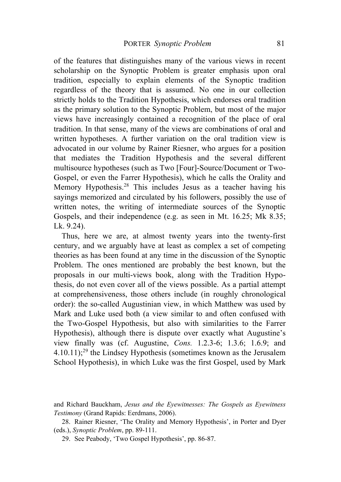of the features that distinguishes many of the various views in recent scholarship on the Synoptic Problem is greater emphasis upon oral tradition, especially to explain elements of the Synoptic tradition regardless of the theory that is assumed. No one in our collection strictly holds to the Tradition Hypothesis, which endorses oral tradition as the primary solution to the Synoptic Problem, but most of the major views have increasingly contained a recognition of the place of oral tradition. In that sense, many of the views are combinations of oral and written hypotheses. A further variation on the oral tradition view is advocated in our volume by Rainer Riesner, who argues for a position that mediates the Tradition Hypothesis and the several different multisource hypotheses (such as Two [Four]-Source/Document or Two-Gospel, or even the Farrer Hypothesis), which he calls the Orality and Memory Hypothesis.<sup>28</sup> This includes Jesus as a teacher having his sayings memorized and circulated by his followers, possibly the use of written notes, the writing of intermediate sources of the Synoptic Gospels, and their independence (e.g. as seen in Mt. 16.25; Mk 8.35; Lk. 9.24).

Thus, here we are, at almost twenty years into the twenty-first century, and we arguably have at least as complex a set of competing theories as has been found at any time in the discussion of the Synoptic Problem. The ones mentioned are probably the best known, but the proposals in our multi-views book, along with the Tradition Hypothesis, do not even cover all of the views possible. As a partial attempt at comprehensiveness, those others include (in roughly chronological order): the so-called Augustinian view, in which Matthew was used by Mark and Luke used both (a view similar to and often confused with the Two-Gospel Hypothesis, but also with similarities to the Farrer Hypothesis), although there is dispute over exactly what Augustine's view finally was (cf. Augustine, *Cons.* 1.2.3-6; 1.3.6; 1.6.9; and  $4.10.11$ ;<sup>29</sup> the Lindsey Hypothesis (sometimes known as the Jerusalem School Hypothesis), in which Luke was the first Gospel, used by Mark

and Richard Bauckham, *Jesus and the Eyewitnesses: The Gospels as Eyewitness Testimony* (Grand Rapids: Eerdmans, 2006).

<sup>28.</sup> Rainer Riesner, 'The Orality and Memory Hypothesis', in Porter and Dyer (eds.), *Synoptic Problem*, pp. 89-111.

<sup>29.</sup> See Peabody, 'Two Gospel Hypothesis', pp. 86-87.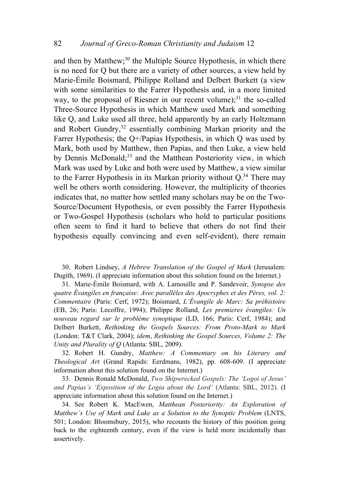and then by Matthew;<sup>30</sup> the Multiple Source Hypothesis, in which there is no need for Q but there are a variety of other sources, a view held by Marie-Émile Boismard, Philippe Rolland and Delbert Burkett (a view with some similarities to the Farrer Hypothesis and, in a more limited way, to the proposal of Riesner in our recent volume); $31$  the so-called Three-Source Hypothesis in which Matthew used Mark and something like Q, and Luke used all three, held apparently by an early Holtzmann and Robert Gundry,<sup>32</sup> essentially combining Markan priority and the Farrer Hypothesis; the Q+/Papias Hypothesis, in which Q was used by Mark, both used by Matthew, then Papias, and then Luke, a view held by Dennis McDonald;<sup>33</sup> and the Matthean Posteriority view, in which Mark was used by Luke and both were used by Matthew, a view similar to the Farrer Hypothesis in its Markan priority without Q.34 There may well be others worth considering. However, the multiplicity of theories indicates that, no matter how settled many scholars may be on the Two-Source/Document Hypothesis, or even possibly the Farrer Hypothesis or Two-Gospel Hypothesis (scholars who hold to particular positions often seem to find it hard to believe that others do not find their hypothesis equally convincing and even self-evident), there remain

30. Robert Lindsey, *A Hebrew Translation of the Gospel of Mark* (Jerusalem: Dugith, 1969). (I appreciate information about this solution found on the Internet.)

31. Marie-Émile Boismard, with A. Lamouille and P. Sandevoir, *Synopse des quatre Évangiles en française: Avec parallèles des Apocryphes et des Pères, vol. 2: Commentaire* (Paris: Cerf, 1972); Boismard, *L'Évangile de Marc: Sa préhistoire* (EB, 26; Paris: Lecoffre, 1994); Philippe Rolland, *Les premieres évangiles: Un nouveau regard sur le problème synoptique* (LD, 166; Paris: Cerf, 1984); and Delbert Burkett, *Rethinking the Gospels Sources: From Proto-Mark to Mark* (London: T&T Clark, 2004); *idem*, *Rethinking the Gospel Sources, Volume 2: The Unity and Plurality of Q* (Atlanta: SBL, 2009).

32. Robert H. Gundry, *Matthew: A Commentary on his Literary and Theological Art* (Grand Rapids: Eerdmans, 1982), pp. 608-609. (I appreciate information about this solution found on the Internet.)

33. Dennis Ronald McDonald, *Two Shipwrecked Gospels: The 'Logoi of Jesus' and Papias's 'Exposition of the Logia about the Lord'* (Atlanta: SBL, 2012). (I appreciate information about this solution found on the Internet.)

34. See Robert K. MacEwen, *Matthean Posteriority: An Exploration of Matthew's Use of Mark and Luke as a Solution to the Synoptic Problem* (LNTS, 501; London: Bloomsbury, 2015), who recounts the history of this position going back to the eighteenth century, even if the view is held more incidentally than assertively.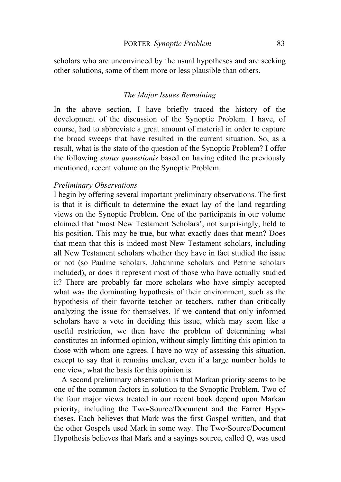scholars who are unconvinced by the usual hypotheses and are seeking other solutions, some of them more or less plausible than others.

## *The Major Issues Remaining*

In the above section, I have briefly traced the history of the development of the discussion of the Synoptic Problem. I have, of course, had to abbreviate a great amount of material in order to capture the broad sweeps that have resulted in the current situation. So, as a result, what is the state of the question of the Synoptic Problem? I offer the following *status quaestionis* based on having edited the previously mentioned, recent volume on the Synoptic Problem.

#### *Preliminary Observations*

I begin by offering several important preliminary observations. The first is that it is difficult to determine the exact lay of the land regarding views on the Synoptic Problem. One of the participants in our volume claimed that 'most New Testament Scholars', not surprisingly, held to his position. This may be true, but what exactly does that mean? Does that mean that this is indeed most New Testament scholars, including all New Testament scholars whether they have in fact studied the issue or not (so Pauline scholars, Johannine scholars and Petrine scholars included), or does it represent most of those who have actually studied it? There are probably far more scholars who have simply accepted what was the dominating hypothesis of their environment, such as the hypothesis of their favorite teacher or teachers, rather than critically analyzing the issue for themselves. If we contend that only informed scholars have a vote in deciding this issue, which may seem like a useful restriction, we then have the problem of determining what constitutes an informed opinion, without simply limiting this opinion to those with whom one agrees. I have no way of assessing this situation, except to say that it remains unclear, even if a large number holds to one view, what the basis for this opinion is.

A second preliminary observation is that Markan priority seems to be one of the common factors in solution to the Synoptic Problem. Two of the four major views treated in our recent book depend upon Markan priority, including the Two-Source/Document and the Farrer Hypotheses. Each believes that Mark was the first Gospel written, and that the other Gospels used Mark in some way. The Two-Source/Document Hypothesis believes that Mark and a sayings source, called Q, was used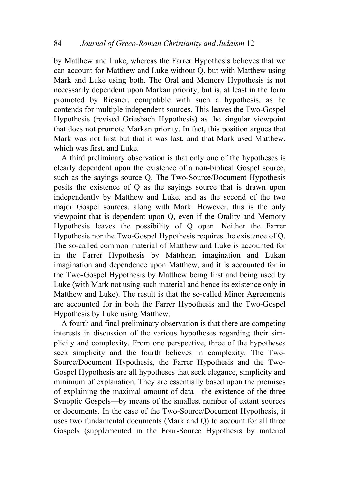by Matthew and Luke, whereas the Farrer Hypothesis believes that we can account for Matthew and Luke without Q, but with Matthew using Mark and Luke using both. The Oral and Memory Hypothesis is not necessarily dependent upon Markan priority, but is, at least in the form promoted by Riesner, compatible with such a hypothesis, as he contends for multiple independent sources. This leaves the Two-Gospel Hypothesis (revised Griesbach Hypothesis) as the singular viewpoint that does not promote Markan priority. In fact, this position argues that Mark was not first but that it was last, and that Mark used Matthew, which was first, and Luke.

A third preliminary observation is that only one of the hypotheses is clearly dependent upon the existence of a non-biblical Gospel source, such as the sayings source Q. The Two-Source/Document Hypothesis posits the existence of Q as the sayings source that is drawn upon independently by Matthew and Luke, and as the second of the two major Gospel sources, along with Mark. However, this is the only viewpoint that is dependent upon Q, even if the Orality and Memory Hypothesis leaves the possibility of Q open. Neither the Farrer Hypothesis nor the Two-Gospel Hypothesis requires the existence of Q. The so-called common material of Matthew and Luke is accounted for in the Farrer Hypothesis by Matthean imagination and Lukan imagination and dependence upon Matthew, and it is accounted for in the Two-Gospel Hypothesis by Matthew being first and being used by Luke (with Mark not using such material and hence its existence only in Matthew and Luke). The result is that the so-called Minor Agreements are accounted for in both the Farrer Hypothesis and the Two-Gospel Hypothesis by Luke using Matthew.

A fourth and final preliminary observation is that there are competing interests in discussion of the various hypotheses regarding their simplicity and complexity. From one perspective, three of the hypotheses seek simplicity and the fourth believes in complexity. The Two-Source/Document Hypothesis, the Farrer Hypothesis and the Two-Gospel Hypothesis are all hypotheses that seek elegance, simplicity and minimum of explanation. They are essentially based upon the premises of explaining the maximal amount of data—the existence of the three Synoptic Gospels—by means of the smallest number of extant sources or documents. In the case of the Two-Source/Document Hypothesis, it uses two fundamental documents (Mark and Q) to account for all three Gospels (supplemented in the Four-Source Hypothesis by material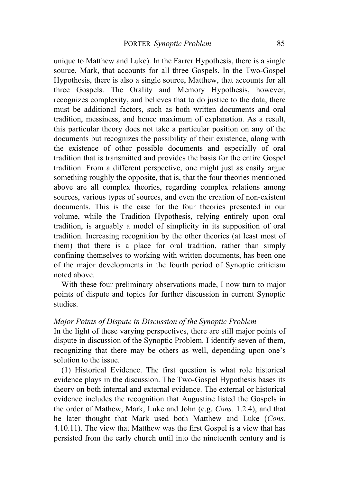unique to Matthew and Luke). In the Farrer Hypothesis, there is a single source, Mark, that accounts for all three Gospels. In the Two-Gospel Hypothesis, there is also a single source, Matthew, that accounts for all three Gospels. The Orality and Memory Hypothesis, however, recognizes complexity, and believes that to do justice to the data, there must be additional factors, such as both written documents and oral tradition, messiness, and hence maximum of explanation. As a result, this particular theory does not take a particular position on any of the documents but recognizes the possibility of their existence, along with the existence of other possible documents and especially of oral tradition that is transmitted and provides the basis for the entire Gospel tradition. From a different perspective, one might just as easily argue something roughly the opposite, that is, that the four theories mentioned above are all complex theories, regarding complex relations among sources, various types of sources, and even the creation of non-existent documents. This is the case for the four theories presented in our volume, while the Tradition Hypothesis, relying entirely upon oral tradition, is arguably a model of simplicity in its supposition of oral tradition. Increasing recognition by the other theories (at least most of them) that there is a place for oral tradition, rather than simply confining themselves to working with written documents, has been one of the major developments in the fourth period of Synoptic criticism noted above.

With these four preliminary observations made, I now turn to major points of dispute and topics for further discussion in current Synoptic studies.

#### *Major Points of Dispute in Discussion of the Synoptic Problem*

In the light of these varying perspectives, there are still major points of dispute in discussion of the Synoptic Problem. I identify seven of them, recognizing that there may be others as well, depending upon one's solution to the issue.

(1) Historical Evidence. The first question is what role historical evidence plays in the discussion. The Two-Gospel Hypothesis bases its theory on both internal and external evidence. The external or historical evidence includes the recognition that Augustine listed the Gospels in the order of Mathew, Mark, Luke and John (e.g. *Cons.* 1.2.4), and that he later thought that Mark used both Matthew and Luke (*Cons.* 4.10.11). The view that Matthew was the first Gospel is a view that has persisted from the early church until into the nineteenth century and is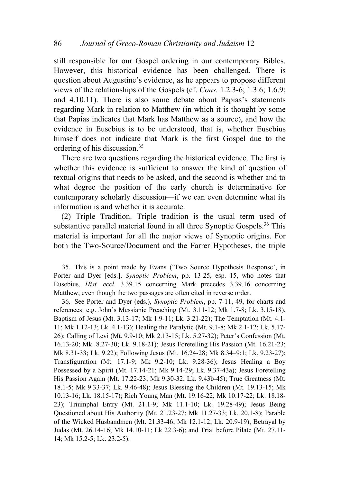still responsible for our Gospel ordering in our contemporary Bibles. However, this historical evidence has been challenged. There is question about Augustine's evidence, as he appears to propose different views of the relationships of the Gospels (cf. *Cons.* 1.2.3-6; 1.3.6; 1.6.9; and 4.10.11). There is also some debate about Papias's statements regarding Mark in relation to Matthew (in which it is thought by some that Papias indicates that Mark has Matthew as a source), and how the evidence in Eusebius is to be understood, that is, whether Eusebius himself does not indicate that Mark is the first Gospel due to the ordering of his discussion.35

There are two questions regarding the historical evidence. The first is whether this evidence is sufficient to answer the kind of question of textual origins that needs to be asked, and the second is whether and to what degree the position of the early church is determinative for contemporary scholarly discussion—if we can even determine what its information is and whether it is accurate.

(2) Triple Tradition. Triple tradition is the usual term used of substantive parallel material found in all three Synoptic Gospels.<sup>36</sup> This material is important for all the major views of Synoptic origins. For both the Two-Source/Document and the Farrer Hypotheses, the triple

35. This is a point made by Evans ('Two Source Hypothesis Response', in Porter and Dyer [eds.], *Synoptic Problem*, pp. 13-25, esp. 15, who notes that Eusebius, *Hist. eccl*. 3.39.15 concerning Mark precedes 3.39.16 concerning Matthew, even though the two passages are often cited in reverse order.

36. See Porter and Dyer (eds.), *Synoptic Problem*, pp. 7-11, 49, for charts and references: e.g. John's Messianic Preaching (Mt. 3.11-12; Mk 1.7-8; Lk. 3.15-18), Baptism of Jesus (Mt. 3.13-17; Mk 1.9-11; Lk. 3.21-22); The Temptation (Mt. 4.1- 11; Mk 1.12-13; Lk. 4.1-13); Healing the Paralytic (Mt. 9.1-8; Mk 2.1-12; Lk. 5.17- 26); Calling of Levi (Mt. 9.9-10; Mk 2.13-15; Lk. 5.27-32); Peter's Confession (Mt. 16.13-20; Mk. 8.27-30; Lk. 9.18-21); Jesus Foretelling His Passion (Mt. 16.21-23; Mk 8.31-33; Lk. 9.22); Following Jesus (Mt. 16.24-28; Mk 8.34–9:1; Lk. 9.23-27); Transfiguration (Mt. 17.1-9; Mk 9.2-10; Lk. 9.28-36); Jesus Healing a Boy Possessed by a Spirit (Mt. 17.14-21; Mk 9.14-29; Lk. 9.37-43a); Jesus Foretelling His Passion Again (Mt. 17.22-23; Mk 9.30-32; Lk. 9.43b-45); True Greatness (Mt. 18.1-5; Mk 9.33-37; Lk. 9.46-48); Jesus Blessing the Children (Mt. 19.13-15; Mk 10.13-16; Lk. 18.15-17); Rich Young Man (Mt. 19.16-22; Mk 10.17-22; Lk. 18.18- 23); Triumphal Entry (Mt. 21.1-9; Mk 11.1-10; Lk. 19.28-49); Jesus Being Questioned about His Authority (Mt. 21.23-27; Mk 11.27-33; Lk. 20.1-8); Parable of the Wicked Husbandmen (Mt. 21.33-46; Mk 12.1-12; Lk. 20.9-19); Betrayal by Judas (Mt. 26.14-16; Mk 14.10-11; Lk 22.3-6); and Trial before Pilate (Mt. 27.11- 14; Mk 15.2-5; Lk. 23.2-5).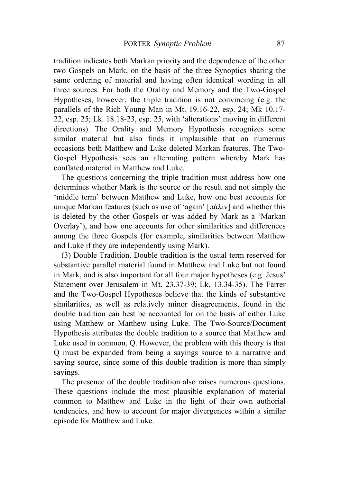tradition indicates both Markan priority and the dependence of the other two Gospels on Mark, on the basis of the three Synoptics sharing the same ordering of material and having often identical wording in all three sources. For both the Orality and Memory and the Two-Gospel Hypotheses, however, the triple tradition is not convincing (e.g. the parallels of the Rich Young Man in Mt. 19.16-22, esp. 24; Mk 10.17- 22, esp. 25; Lk. 18.18-23, esp. 25, with 'alterations' moving in different directions). The Orality and Memory Hypothesis recognizes some similar material but also finds it implausible that on numerous occasions both Matthew and Luke deleted Markan features. The Two-Gospel Hypothesis sees an alternating pattern whereby Mark has conflated material in Matthew and Luke.

The questions concerning the triple tradition must address how one determines whether Mark is the source or the result and not simply the 'middle term' between Matthew and Luke, how one best accounts for unique Markan features (such as use of 'again' [πάλιν] and whether this is deleted by the other Gospels or was added by Mark as a 'Markan Overlay'), and how one accounts for other similarities and differences among the three Gospels (for example, similarities between Matthew and Luke if they are independently using Mark).

(3) Double Tradition. Double tradition is the usual term reserved for substantive parallel material found in Matthew and Luke but not found in Mark, and is also important for all four major hypotheses (e.g. Jesus' Statement over Jerusalem in Mt. 23.37-39; Lk. 13.34-35). The Farrer and the Two-Gospel Hypotheses believe that the kinds of substantive similarities, as well as relatively minor disagreements, found in the double tradition can best be accounted for on the basis of either Luke using Matthew or Matthew using Luke. The Two-Source/Document Hypothesis attributes the double tradition to a source that Matthew and Luke used in common, Q. However, the problem with this theory is that Q must be expanded from being a sayings source to a narrative and saying source, since some of this double tradition is more than simply sayings.

The presence of the double tradition also raises numerous questions. These questions include the most plausible explanation of material common to Matthew and Luke in the light of their own authorial tendencies, and how to account for major divergences within a similar episode for Matthew and Luke.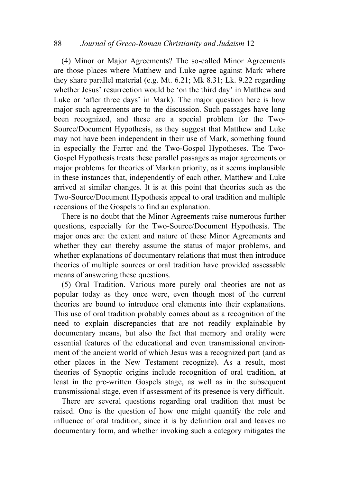(4) Minor or Major Agreements? The so-called Minor Agreements are those places where Matthew and Luke agree against Mark where they share parallel material (e.g. Mt. 6.21; Mk 8.31; Lk. 9.22 regarding whether Jesus' resurrection would be 'on the third day' in Matthew and Luke or 'after three days' in Mark). The major question here is how major such agreements are to the discussion. Such passages have long been recognized, and these are a special problem for the Two-Source/Document Hypothesis, as they suggest that Matthew and Luke may not have been independent in their use of Mark, something found in especially the Farrer and the Two-Gospel Hypotheses. The Two-Gospel Hypothesis treats these parallel passages as major agreements or major problems for theories of Markan priority, as it seems implausible in these instances that, independently of each other, Matthew and Luke arrived at similar changes. It is at this point that theories such as the Two-Source/Document Hypothesis appeal to oral tradition and multiple recensions of the Gospels to find an explanation.

There is no doubt that the Minor Agreements raise numerous further questions, especially for the Two-Source/Document Hypothesis. The major ones are: the extent and nature of these Minor Agreements and whether they can thereby assume the status of major problems, and whether explanations of documentary relations that must then introduce theories of multiple sources or oral tradition have provided assessable means of answering these questions.

(5) Oral Tradition. Various more purely oral theories are not as popular today as they once were, even though most of the current theories are bound to introduce oral elements into their explanations. This use of oral tradition probably comes about as a recognition of the need to explain discrepancies that are not readily explainable by documentary means, but also the fact that memory and orality were essential features of the educational and even transmissional environment of the ancient world of which Jesus was a recognized part (and as other places in the New Testament recognize). As a result, most theories of Synoptic origins include recognition of oral tradition, at least in the pre-written Gospels stage, as well as in the subsequent transmissional stage, even if assessment of its presence is very difficult.

There are several questions regarding oral tradition that must be raised. One is the question of how one might quantify the role and influence of oral tradition, since it is by definition oral and leaves no documentary form, and whether invoking such a category mitigates the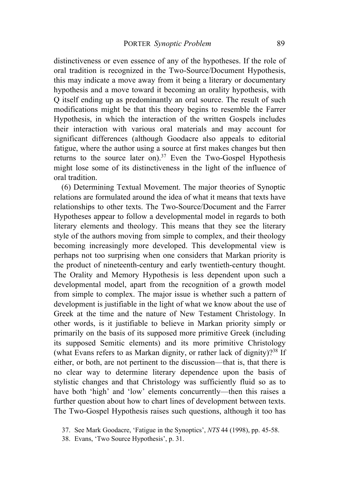distinctiveness or even essence of any of the hypotheses. If the role of oral tradition is recognized in the Two-Source/Document Hypothesis, this may indicate a move away from it being a literary or documentary hypothesis and a move toward it becoming an orality hypothesis, with Q itself ending up as predominantly an oral source. The result of such modifications might be that this theory begins to resemble the Farrer Hypothesis, in which the interaction of the written Gospels includes their interaction with various oral materials and may account for significant differences (although Goodacre also appeals to editorial fatigue, where the author using a source at first makes changes but then returns to the source later on).<sup>37</sup> Even the Two-Gospel Hypothesis might lose some of its distinctiveness in the light of the influence of oral tradition.

(6) Determining Textual Movement. The major theories of Synoptic relations are formulated around the idea of what it means that texts have relationships to other texts. The Two-Source/Document and the Farrer Hypotheses appear to follow a developmental model in regards to both literary elements and theology. This means that they see the literary style of the authors moving from simple to complex, and their theology becoming increasingly more developed. This developmental view is perhaps not too surprising when one considers that Markan priority is the product of nineteenth-century and early twentieth-century thought. The Orality and Memory Hypothesis is less dependent upon such a developmental model, apart from the recognition of a growth model from simple to complex. The major issue is whether such a pattern of development is justifiable in the light of what we know about the use of Greek at the time and the nature of New Testament Christology. In other words, is it justifiable to believe in Markan priority simply or primarily on the basis of its supposed more primitive Greek (including its supposed Semitic elements) and its more primitive Christology (what Evans refers to as Markan dignity, or rather lack of dignity)?<sup>38</sup> If either, or both, are not pertinent to the discussion—that is, that there is no clear way to determine literary dependence upon the basis of stylistic changes and that Christology was sufficiently fluid so as to have both 'high' and 'low' elements concurrently—then this raises a further question about how to chart lines of development between texts. The Two-Gospel Hypothesis raises such questions, although it too has

<sup>37.</sup> See Mark Goodacre, 'Fatigue in the Synoptics', *NTS* 44 (1998), pp. 45-58.

<sup>38.</sup> Evans, 'Two Source Hypothesis', p. 31.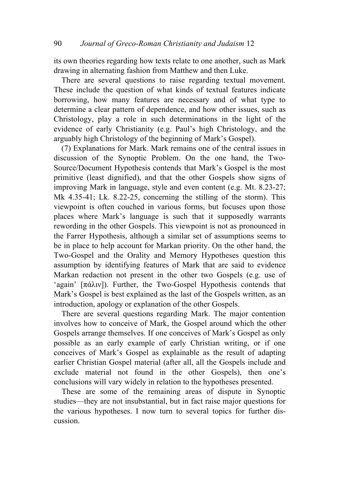its own theories regarding how texts relate to one another, such as Mark drawing in alternating fashion from Matthew and then Luke.

There are several questions to raise regarding textual movement. These include the question of what kinds of textual features indicate borrowing, how many features are necessary and of what type to determine a clear pattern of dependence, and how other issues, such as Christology, play a role in such determinations in the light of the evidence of early Christianity (e.g. Paul's high Christology, and the arguably high Christology of the beginning of Mark's Gospel).

(7) Explanations for Mark. Mark remains one of the central issues in discussion of the Synoptic Problem. On the one hand, the Two-Source/Document Hypothesis contends that Mark's Gospel is the most primitive (least dignified), and that the other Gospels show signs of improving Mark in language, style and even content (e.g. Mt. 8.23-27; Mk 4.35-41; Lk. 8.22-25, concerning the stilling of the storm). This viewpoint is often couched in various forms, but focuses upon those places where Mark's language is such that it supposedly warrants rewording in the other Gospels. This viewpoint is not as pronounced in the Farrer Hypothesis, although a similar set of assumptions seems to be in place to help account for Markan priority. On the other hand, the Two-Gospel and the Orality and Memory Hypotheses question this assumption by identifying features of Mark that are said to evidence Markan redaction not present in the other two Gospels (e.g. use of 'again'  $[\pi \alpha \lambda \nu]$ ). Further, the Two-Gospel Hypothesis contends that Mark's Gospel is best explained as the last of the Gospels written, as an introduction, apology or explanation of the other Gospels.

There are several questions regarding Mark. The major contention involves how to conceive of Mark, the Gospel around which the other Gospels arrange themselves. If one conceives of Mark's Gospel as only possible as an early example of early Christian writing, or if one conceives of Mark's Gospel as explainable as the result of adapting earlier Christian Gospel material (after all, all the Gospels include and exclude material not found in the other Gospels), then one's conclusions will vary widely in relation to the hypotheses presented.

These are some of the remaining areas of dispute in Synoptic studies—they are not insubstantial, but in fact raise major questions for the various hypotheses. I now turn to several topics for further discussion.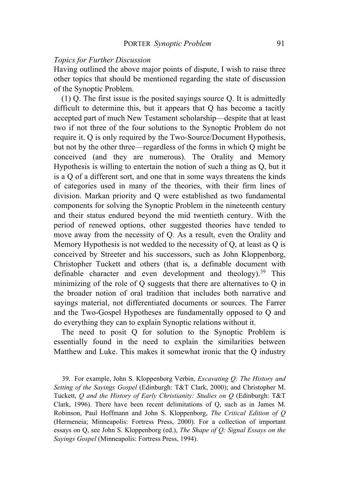# *Topics for Further Discussion*

Having outlined the above major points of dispute, I wish to raise three other topics that should be mentioned regarding the state of discussion of the Synoptic Problem.

(1) Q. The first issue is the posited sayings source Q. It is admittedly difficult to determine this, but it appears that Q has become a tacitly accepted part of much New Testament scholarship—despite that at least two if not three of the four solutions to the Synoptic Problem do not require it. Q is only required by the Two-Source/Document Hypothesis, but not by the other three—regardless of the forms in which Q might be conceived (and they are numerous). The Orality and Memory Hypothesis is willing to entertain the notion of such a thing as Q, but it is a Q of a different sort, and one that in some ways threatens the kinds of categories used in many of the theories, with their firm lines of division. Markan priority and Q were established as two fundamental components for solving the Synoptic Problem in the nineteenth century and their status endured beyond the mid twentieth century. With the period of renewed options, other suggested theories have tended to move away from the necessity of Q. As a result, even the Orality and Memory Hypothesis is not wedded to the necessity of Q, at least as Q is conceived by Streeter and his successors, such as John Kloppenborg, Christopher Tuckett and others (that is, a definable document with definable character and even development and theology).<sup>39</sup> This minimizing of the role of Q suggests that there are alternatives to Q in the broader notion of oral tradition that includes both narrative and sayings material, not differentiated documents or sources. The Farrer and the Two-Gospel Hypotheses are fundamentally opposed to Q and do everything they can to explain Synoptic relations without it.

The need to posit Q for solution to the Synoptic Problem is essentially found in the need to explain the similarities between Matthew and Luke. This makes it somewhat ironic that the Q industry

39. For example, John S. Kloppenborg Verbin, *Excavating Q: The History and Setting of the Sayings Gospel* (Edinburgh: T&T Clark, 2000); and Christopher M. Tuckett, *Q and the History of Early Christianity: Studies on Q* (Edinburgh: T&T Clark, 1996). There have been recent delimitations of Q, such as in James M. Robinson, Paul Hoffmann and John S. Kloppenborg, *The Critical Edition of Q* (Hermeneia; Minneapolis: Fortress Press, 2000). For a collection of important essays on Q, see John S. Kloppenborg (ed.), *The Shape of Q: Signal Essays on the Sayings Gospel* (Minneapolis: Fortress Press, 1994).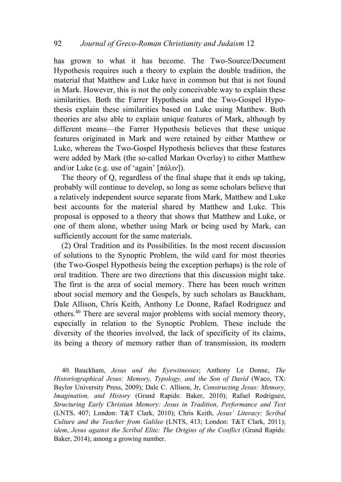has grown to what it has become. The Two-Source/Document Hypothesis requires such a theory to explain the double tradition, the material that Matthew and Luke have in common but that is not found in Mark. However, this is not the only conceivable way to explain these similarities. Both the Farrer Hypothesis and the Two-Gospel Hypothesis explain these similarities based on Luke using Matthew. Both theories are also able to explain unique features of Mark, although by different means—the Farrer Hypothesis believes that these unique features originated in Mark and were retained by either Matthew or Luke, whereas the Two-Gospel Hypothesis believes that these features were added by Mark (the so-called Markan Overlay) to either Matthew and/or Luke (e.g. use of 'again'  $[\pi \alpha \lambda \nu]$ ).

The theory of Q, regardless of the final shape that it ends up taking, probably will continue to develop, so long as some scholars believe that a relatively independent source separate from Mark, Matthew and Luke best accounts for the material shared by Matthew and Luke. This proposal is opposed to a theory that shows that Matthew and Luke, or one of them alone, whether using Mark or being used by Mark, can sufficiently account for the same materials.

(2) Oral Tradition and its Possibilities. In the most recent discussion of solutions to the Synoptic Problem, the wild card for most theories (the Two-Gospel Hypothesis being the exception perhaps) is the role of oral tradition. There are two directions that this discussion might take. The first is the area of social memory. There has been much written about social memory and the Gospels, by such scholars as Bauckham, Dale Allison, Chris Keith, Anthony Le Donne, Rafael Rodriguez and others.40 There are several major problems with social memory theory, especially in relation to the Synoptic Problem. These include the diversity of the theories involved, the lack of specificity of its claims, its being a theory of memory rather than of transmission, its modern

40. Bauckham, *Jesus and the Eyewitnesses*; Anthony Le Donne, *The Historiographical Jesus: Memory, Typology, and the Son of David* (Waco, TX: Baylor University Press, 2009); Dale C. Allison, Jr, *Constructing Jesus: Memory, Imagination, and History* (Grand Rapids: Baker, 2010); Rafael Rodriguez, *Structuring Early Christian Memory: Jesus in Tradition, Performance and Text* (LNTS, 407; London: T&T Clark, 2010); Chris Keith, *Jesus' Literacy: Scribal Culture and the Teacher from Galilee* (LNTS, 413; London: T&T Clark, 2011); *idem*, *Jesus against the Scribal Elite: The Origins of the Conflict* (Grand Rapids: Baker, 2014); among a growing number.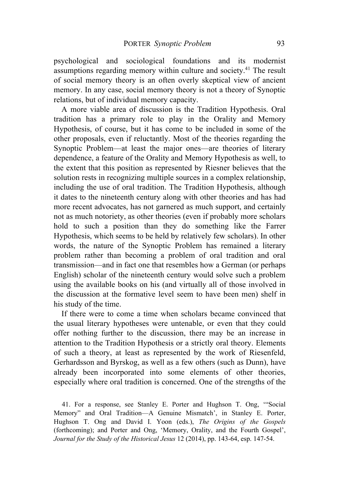psychological and sociological foundations and its modernist assumptions regarding memory within culture and society.41 The result of social memory theory is an often overly skeptical view of ancient memory. In any case, social memory theory is not a theory of Synoptic relations, but of individual memory capacity.

A more viable area of discussion is the Tradition Hypothesis. Oral tradition has a primary role to play in the Orality and Memory Hypothesis, of course, but it has come to be included in some of the other proposals, even if reluctantly. Most of the theories regarding the Synoptic Problem—at least the major ones—are theories of literary dependence, a feature of the Orality and Memory Hypothesis as well, to the extent that this position as represented by Riesner believes that the solution rests in recognizing multiple sources in a complex relationship, including the use of oral tradition. The Tradition Hypothesis, although it dates to the nineteenth century along with other theories and has had more recent advocates, has not garnered as much support, and certainly not as much notoriety, as other theories (even if probably more scholars hold to such a position than they do something like the Farrer Hypothesis, which seems to be held by relatively few scholars). In other words, the nature of the Synoptic Problem has remained a literary problem rather than becoming a problem of oral tradition and oral transmission—and in fact one that resembles how a German (or perhaps English) scholar of the nineteenth century would solve such a problem using the available books on his (and virtually all of those involved in the discussion at the formative level seem to have been men) shelf in his study of the time.

If there were to come a time when scholars became convinced that the usual literary hypotheses were untenable, or even that they could offer nothing further to the discussion, there may be an increase in attention to the Tradition Hypothesis or a strictly oral theory. Elements of such a theory, at least as represented by the work of Riesenfeld, Gerhardsson and Byrskog, as well as a few others (such as Dunn), have already been incorporated into some elements of other theories, especially where oral tradition is concerned. One of the strengths of the

41. For a response, see Stanley E. Porter and Hughson T. Ong, '"Social Memory" and Oral Tradition—A Genuine Mismatch', in Stanley E. Porter, Hughson T. Ong and David I. Yoon (eds.), *The Origins of the Gospels* (forthcoming); and Porter and Ong, 'Memory, Orality, and the Fourth Gospel', *Journal for the Study of the Historical Jesus* 12 (2014), pp. 143-64, esp. 147-54.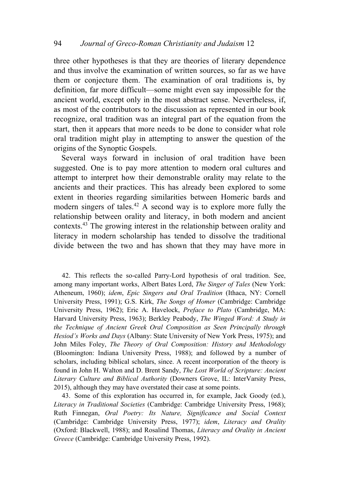three other hypotheses is that they are theories of literary dependence and thus involve the examination of written sources, so far as we have them or conjecture them. The examination of oral traditions is, by definition, far more difficult—some might even say impossible for the ancient world, except only in the most abstract sense. Nevertheless, if, as most of the contributors to the discussion as represented in our book recognize, oral tradition was an integral part of the equation from the start, then it appears that more needs to be done to consider what role oral tradition might play in attempting to answer the question of the origins of the Synoptic Gospels.

Several ways forward in inclusion of oral tradition have been suggested. One is to pay more attention to modern oral cultures and attempt to interpret how their demonstrable orality may relate to the ancients and their practices. This has already been explored to some extent in theories regarding similarities between Homeric bards and modern singers of tales.<sup>42</sup> A second way is to explore more fully the relationship between orality and literacy, in both modern and ancient contexts.43 The growing interest in the relationship between orality and literacy in modern scholarship has tended to dissolve the traditional divide between the two and has shown that they may have more in

42. This reflects the so-called Parry-Lord hypothesis of oral tradition. See, among many important works, Albert Bates Lord, *The Singer of Tales* (New York: Atheneum, 1960); *idem*, *Epic Singers and Oral Tradition* (Ithaca, NY: Cornell University Press, 1991); G.S. Kirk, *The Songs of Homer* (Cambridge: Cambridge University Press, 1962); Eric A. Havelock, *Preface to Plato* (Cambridge, MA: Harvard University Press, 1963); Berkley Peabody, *The Winged Word: A Study in the Technique of Ancient Greek Oral Composition as Seen Principally through Hesiod's Works and Days* (Albany: State University of New York Press, 1975); and John Miles Foley, *The Theory of Oral Composition: History and Methodology* (Bloomington: Indiana University Press, 1988); and followed by a number of scholars, including biblical scholars, since. A recent incorporation of the theory is found in John H. Walton and D. Brent Sandy, *The Lost World of Scripture: Ancient Literary Culture and Biblical Authority* (Downers Grove, IL: InterVarsity Press, 2015), although they may have overstated their case at some points.

43. Some of this exploration has occurred in, for example, Jack Goody (ed.), *Literacy in Traditional Societies* (Cambridge: Cambridge University Press, 1968); Ruth Finnegan, *Oral Poetry: Its Nature, Significance and Social Context* (Cambridge: Cambridge University Press, 1977); *idem*, *Literacy and Orality* (Oxford: Blackwell, 1988); and Rosalind Thomas, *Literacy and Orality in Ancient Greece* (Cambridge: Cambridge University Press, 1992).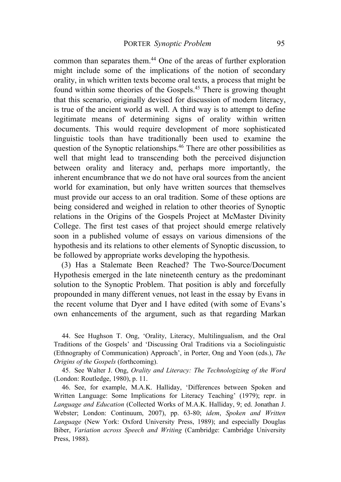common than separates them.44 One of the areas of further exploration might include some of the implications of the notion of secondary orality, in which written texts become oral texts, a process that might be found within some theories of the Gospels.45 There is growing thought that this scenario, originally devised for discussion of modern literacy, is true of the ancient world as well. A third way is to attempt to define legitimate means of determining signs of orality within written documents. This would require development of more sophisticated linguistic tools than have traditionally been used to examine the question of the Synoptic relationships.46 There are other possibilities as well that might lead to transcending both the perceived disjunction between orality and literacy and, perhaps more importantly, the inherent encumbrance that we do not have oral sources from the ancient world for examination, but only have written sources that themselves must provide our access to an oral tradition. Some of these options are being considered and weighed in relation to other theories of Synoptic relations in the Origins of the Gospels Project at McMaster Divinity College. The first test cases of that project should emerge relatively soon in a published volume of essays on various dimensions of the hypothesis and its relations to other elements of Synoptic discussion, to be followed by appropriate works developing the hypothesis.

(3) Has a Stalemate Been Reached? The Two-Source/Document Hypothesis emerged in the late nineteenth century as the predominant solution to the Synoptic Problem. That position is ably and forcefully propounded in many different venues, not least in the essay by Evans in the recent volume that Dyer and I have edited (with some of Evans's own enhancements of the argument, such as that regarding Markan

44. See Hughson T. Ong, 'Orality, Literacy, Multilingualism, and the Oral Traditions of the Gospels' and 'Discussing Oral Traditions via a Sociolinguistic (Ethnography of Communication) Approach', in Porter, Ong and Yoon (eds.), *The Origins of the Gospels* (forthcoming).

45. See Walter J. Ong, *Orality and Literacy: The Technologizing of the Word* (London: Routledge, 1980), p. 11.

46. See, for example, M.A.K. Halliday, 'Differences between Spoken and Written Language: Some Implications for Literacy Teaching' (1979); repr. in *Language and Education* (Collected Works of M.A.K. Halliday, 9; ed. Jonathan J. Webster; London: Continuum, 2007), pp. 63-80; *idem*, *Spoken and Written Language* (New York: Oxford University Press, 1989); and especially Douglas Biber, *Variation across Speech and Writing* (Cambridge: Cambridge University Press, 1988).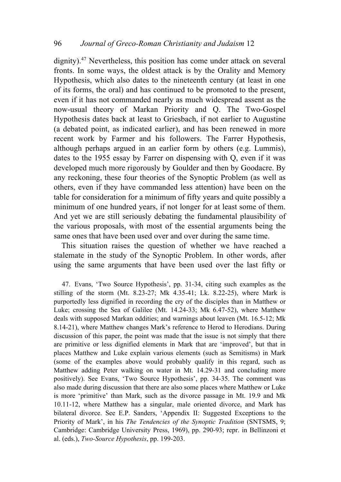dignity).47 Nevertheless, this position has come under attack on several fronts. In some ways, the oldest attack is by the Orality and Memory Hypothesis, which also dates to the nineteenth century (at least in one of its forms, the oral) and has continued to be promoted to the present, even if it has not commanded nearly as much widespread assent as the now-usual theory of Markan Priority and Q. The Two-Gospel Hypothesis dates back at least to Griesbach, if not earlier to Augustine (a debated point, as indicated earlier), and has been renewed in more recent work by Farmer and his followers. The Farrer Hypothesis, although perhaps argued in an earlier form by others (e.g. Lummis), dates to the 1955 essay by Farrer on dispensing with Q, even if it was developed much more rigorously by Goulder and then by Goodacre. By any reckoning, these four theories of the Synoptic Problem (as well as others, even if they have commanded less attention) have been on the table for consideration for a minimum of fifty years and quite possibly a minimum of one hundred years, if not longer for at least some of them. And yet we are still seriously debating the fundamental plausibility of the various proposals, with most of the essential arguments being the same ones that have been used over and over during the same time.

This situation raises the question of whether we have reached a stalemate in the study of the Synoptic Problem. In other words, after using the same arguments that have been used over the last fifty or

47. Evans, 'Two Source Hypothesis', pp. 31-34, citing such examples as the stilling of the storm (Mt. 8.23-27; Mk 4.35-41; Lk. 8.22-25), where Mark is purportedly less dignified in recording the cry of the disciples than in Matthew or Luke; crossing the Sea of Galilee (Mt. 14.24-33; Mk 6.47-52), where Matthew deals with supposed Markan oddities; and warnings about leaven (Mt. 16.5-12; Mk 8.14-21), where Matthew changes Mark's reference to Herod to Herodians. During discussion of this paper, the point was made that the issue is not simply that there are primitive or less dignified elements in Mark that are 'improved', but that in places Matthew and Luke explain various elements (such as Semitisms) in Mark (some of the examples above would probably qualify in this regard, such as Matthew adding Peter walking on water in Mt. 14.29-31 and concluding more positively). See Evans, 'Two Source Hypothesis', pp. 34-35. The comment was also made during discussion that there are also some places where Matthew or Luke is more 'primitive' than Mark, such as the divorce passage in Mt. 19.9 and Mk 10.11-12, where Matthew has a singular, male oriented divorce, and Mark has bilateral divorce. See E.P. Sanders, 'Appendix II: Suggested Exceptions to the Priority of Mark', in his *The Tendencies of the Synoptic Tradition* (SNTSMS, 9; Cambridge: Cambridge University Press, 1969), pp. 290-93; repr. in Bellinzoni et al. (eds.), *Two-Source Hypothesis*, pp. 199-203.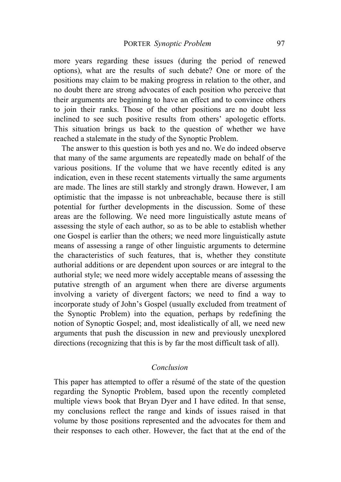more years regarding these issues (during the period of renewed options), what are the results of such debate? One or more of the positions may claim to be making progress in relation to the other, and no doubt there are strong advocates of each position who perceive that their arguments are beginning to have an effect and to convince others to join their ranks. Those of the other positions are no doubt less inclined to see such positive results from others' apologetic efforts. This situation brings us back to the question of whether we have reached a stalemate in the study of the Synoptic Problem.

The answer to this question is both yes and no. We do indeed observe that many of the same arguments are repeatedly made on behalf of the various positions. If the volume that we have recently edited is any indication, even in these recent statements virtually the same arguments are made. The lines are still starkly and strongly drawn. However, I am optimistic that the impasse is not unbreachable, because there is still potential for further developments in the discussion. Some of these areas are the following. We need more linguistically astute means of assessing the style of each author, so as to be able to establish whether one Gospel is earlier than the others; we need more linguistically astute means of assessing a range of other linguistic arguments to determine the characteristics of such features, that is, whether they constitute authorial additions or are dependent upon sources or are integral to the authorial style; we need more widely acceptable means of assessing the putative strength of an argument when there are diverse arguments involving a variety of divergent factors; we need to find a way to incorporate study of John's Gospel (usually excluded from treatment of the Synoptic Problem) into the equation, perhaps by redefining the notion of Synoptic Gospel; and, most idealistically of all, we need new arguments that push the discussion in new and previously unexplored directions (recognizing that this is by far the most difficult task of all).

#### *Conclusion*

This paper has attempted to offer a résumé of the state of the question regarding the Synoptic Problem, based upon the recently completed multiple views book that Bryan Dyer and I have edited. In that sense, my conclusions reflect the range and kinds of issues raised in that volume by those positions represented and the advocates for them and their responses to each other. However, the fact that at the end of the